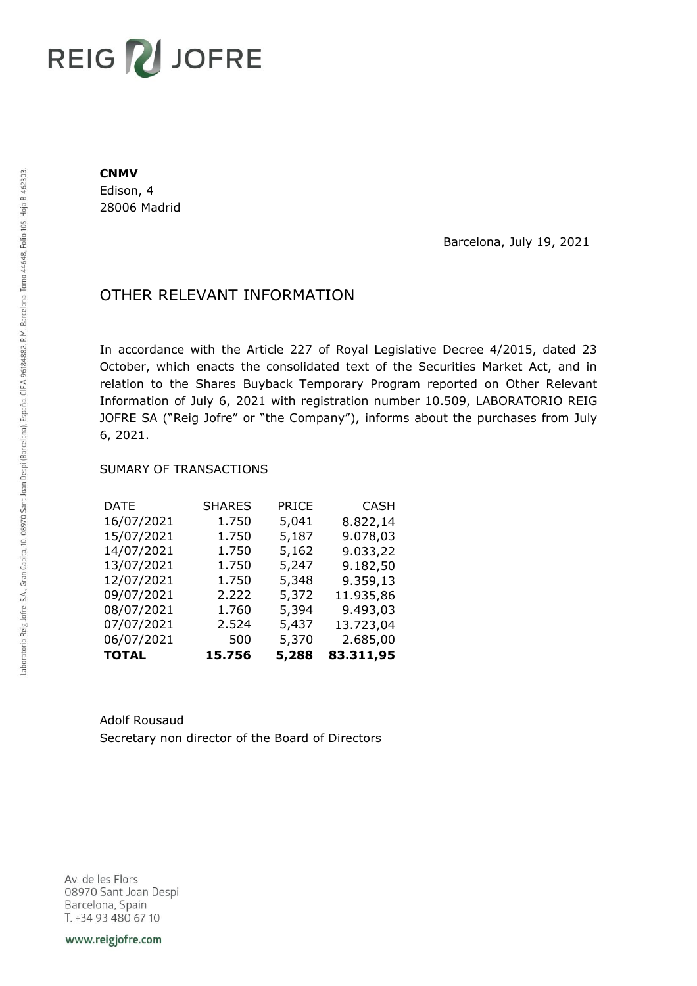## **REIG ZU JOFRE**

## **CNMV**

Edison, 4 28006 Madrid

Barcelona, July 19, 2021

## OTHER RELEVANT INFORMATION

In accordance with the Article 227 of Royal Legislative Decree 4/2015, dated 23 October, which enacts the consolidated text of the Securities Market Act, and in relation to the Shares Buyback Temporary Program reported on Other Relevant Information of July 6, 2021 with registration number 10.509, LABORATORIO REIG JOFRE SA ("Reig Jofre" or "the Company"), informs about the purchases from July 6, 2021.

## SUMARY OF TRANSACTIONS

| DATE         | <b>SHARES</b> | PRICE | <b>CASH</b> |
|--------------|---------------|-------|-------------|
| 16/07/2021   | 1.750         | 5,041 | 8.822,14    |
| 15/07/2021   | 1.750         | 5,187 | 9.078,03    |
| 14/07/2021   | 1.750         | 5,162 | 9.033,22    |
| 13/07/2021   | 1.750         | 5,247 | 9.182,50    |
| 12/07/2021   | 1.750         | 5,348 | 9.359,13    |
| 09/07/2021   | 2.222         | 5,372 | 11.935,86   |
| 08/07/2021   | 1.760         | 5,394 | 9.493,03    |
| 07/07/2021   | 2.524         | 5,437 | 13.723,04   |
| 06/07/2021   | 500           | 5,370 | 2.685,00    |
| <b>TOTAL</b> | 15.756        | 5,288 | 83.311,95   |

Adolf Rousaud Secretary non director of the Board of Directors

Av. de les Flors 08970 Sant Joan Despi Barcelona, Spain T. +34 93 480 67 10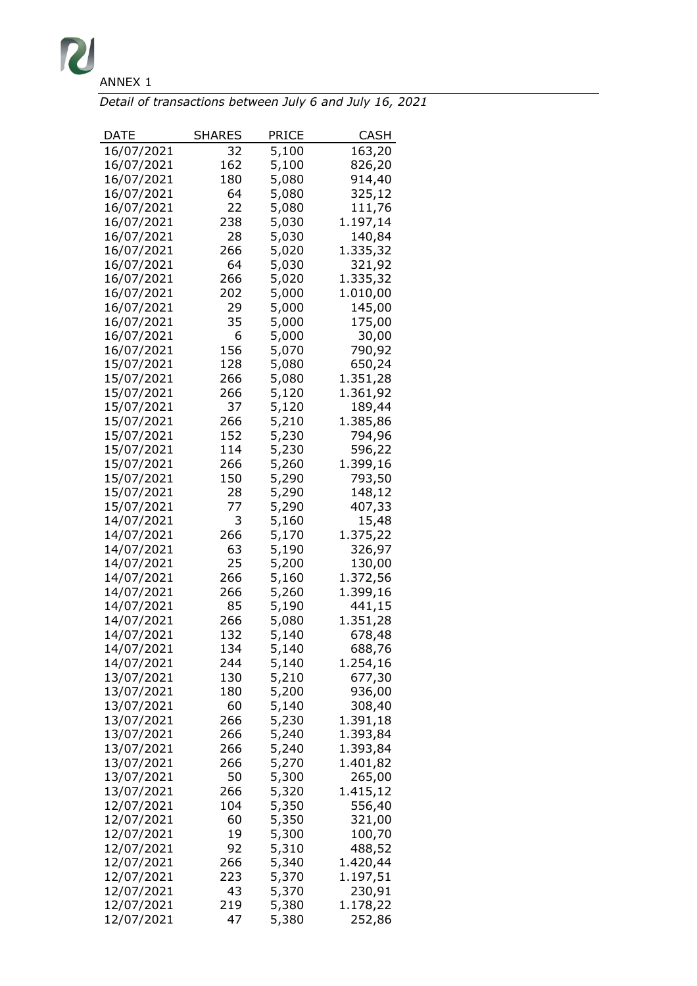

| Detail of transactions between July 6 and July 16, 2021 |  |
|---------------------------------------------------------|--|
|---------------------------------------------------------|--|

| DATE       | <b>SHARES</b> | <b>PRICE</b> | CASH     |
|------------|---------------|--------------|----------|
| 16/07/2021 | 32            | 5,100        | 163,20   |
| 16/07/2021 | 162           | 5,100        | 826,20   |
| 16/07/2021 | 180           | 5,080        | 914,40   |
| 16/07/2021 | 64            | 5,080        | 325,12   |
| 16/07/2021 | 22            | 5,080        | 111,76   |
| 16/07/2021 | 238           | 5,030        | 1.197,14 |
| 16/07/2021 | 28            | 5,030        | 140,84   |
| 16/07/2021 | 266           | 5,020        | 1.335,32 |
| 16/07/2021 | 64            | 5,030        | 321,92   |
| 16/07/2021 | 266           | 5,020        | 1.335,32 |
|            |               |              |          |
| 16/07/2021 | 202           | 5,000        | 1.010,00 |
| 16/07/2021 | 29            | 5,000        | 145,00   |
| 16/07/2021 | 35            | 5,000        | 175,00   |
| 16/07/2021 | 6             | 5,000        | 30,00    |
| 16/07/2021 | 156           | 5,070        | 790,92   |
| 15/07/2021 | 128           | 5,080        | 650,24   |
| 15/07/2021 | 266           | 5,080        | 1.351,28 |
| 15/07/2021 | 266           | 5,120        | 1.361,92 |
| 15/07/2021 | 37            | 5,120        | 189,44   |
| 15/07/2021 | 266           | 5,210        | 1.385,86 |
| 15/07/2021 | 152           | 5,230        | 794,96   |
| 15/07/2021 | 114           | 5,230        | 596,22   |
| 15/07/2021 | 266           | 5,260        | 1.399,16 |
| 15/07/2021 | 150           | 5,290        | 793,50   |
| 15/07/2021 | 28            | 5,290        | 148,12   |
| 15/07/2021 | 77            | 5,290        | 407,33   |
| 14/07/2021 | 3             | 5,160        | 15,48    |
| 14/07/2021 | 266           | 5,170        | 1.375,22 |
| 14/07/2021 | 63            | 5,190        | 326,97   |
| 14/07/2021 | 25            | 5,200        | 130,00   |
| 14/07/2021 | 266           | 5,160        | 1.372,56 |
| 14/07/2021 | 266           | 5,260        | 1.399,16 |
| 14/07/2021 | 85            | 5,190        | 441,15   |
| 14/07/2021 | 266           | 5,080        | 1.351,28 |
| 14/07/2021 | 132           | 5,140        | 678,48   |
| 14/07/2021 | 134           | 5,140        |          |
|            |               |              | 688,76   |
| 14/07/2021 | 244           | 5,140        | 1.254,16 |
| 13/07/2021 | 130           | 5,210        | 677,30   |
| 13/07/2021 | 180           | 5,200        | 936,00   |
| 13/07/2021 | 60            | 5,140        | 308,40   |
| 13/07/2021 | 266           | 5,230        | 1.391,18 |
| 13/07/2021 | 266           | 5,240        | 1.393,84 |
| 13/07/2021 | 266           | 5,240        | 1.393,84 |
| 13/07/2021 | 266           | 5,270        | 1.401,82 |
| 13/07/2021 | 50            | 5,300        | 265,00   |
| 13/07/2021 | 266           | 5,320        | 1.415,12 |
| 12/07/2021 | 104           | 5,350        | 556,40   |
| 12/07/2021 | 60            | 5,350        | 321,00   |
| 12/07/2021 | 19            | 5,300        | 100,70   |
| 12/07/2021 | 92            | 5,310        | 488,52   |
| 12/07/2021 | 266           | 5,340        | 1.420,44 |
| 12/07/2021 | 223           | 5,370        | 1.197,51 |
| 12/07/2021 | 43            | 5,370        | 230,91   |
| 12/07/2021 | 219           | 5,380        | 1.178,22 |
| 12/07/2021 | 47            | 5,380        | 252,86   |